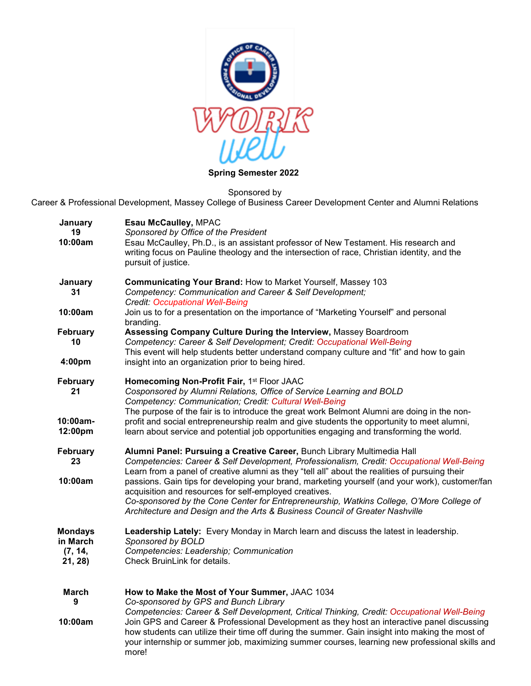

## **Spring Semester 2022**

Sponsored by

Career & Professional Development, Massey College of Business Career Development Center and Alumni Relations

| January<br>19<br>10:00am                         | <b>Esau McCaulley, MPAC</b><br>Sponsored by Office of the President<br>Esau McCaulley, Ph.D., is an assistant professor of New Testament. His research and<br>writing focus on Pauline theology and the intersection of race, Christian identity, and the<br>pursuit of justice.                                                                                                                                                                                                                                                                                                                                |  |
|--------------------------------------------------|-----------------------------------------------------------------------------------------------------------------------------------------------------------------------------------------------------------------------------------------------------------------------------------------------------------------------------------------------------------------------------------------------------------------------------------------------------------------------------------------------------------------------------------------------------------------------------------------------------------------|--|
| January<br>31                                    | Communicating Your Brand: How to Market Yourself, Massey 103<br>Competency: Communication and Career & Self Development;<br><b>Credit: Occupational Well-Being</b>                                                                                                                                                                                                                                                                                                                                                                                                                                              |  |
| 10:00am                                          | Join us to for a presentation on the importance of "Marketing Yourself" and personal<br>branding.                                                                                                                                                                                                                                                                                                                                                                                                                                                                                                               |  |
| <b>February</b><br>10                            | Assessing Company Culture During the Interview, Massey Boardroom<br>Competency: Career & Self Development; Credit: Occupational Well-Being<br>This event will help students better understand company culture and "fit" and how to gain                                                                                                                                                                                                                                                                                                                                                                         |  |
| 4:00pm                                           | insight into an organization prior to being hired.                                                                                                                                                                                                                                                                                                                                                                                                                                                                                                                                                              |  |
| <b>February</b><br>21                            | Homecoming Non-Profit Fair, 1st Floor JAAC<br>Cosponsored by Alumni Relations, Office of Service Learning and BOLD<br>Competency: Communication; Credit: Cultural Well-Being<br>The purpose of the fair is to introduce the great work Belmont Alumni are doing in the non-                                                                                                                                                                                                                                                                                                                                     |  |
| 10:00am-<br>12:00pm                              | profit and social entrepreneurship realm and give students the opportunity to meet alumni,<br>learn about service and potential job opportunities engaging and transforming the world.                                                                                                                                                                                                                                                                                                                                                                                                                          |  |
| <b>February</b><br>23<br>10:00am                 | Alumni Panel: Pursuing a Creative Career, Bunch Library Multimedia Hall<br>Competencies: Career & Self Development, Professionalism, Credit: Occupational Well-Being<br>Learn from a panel of creative alumni as they "tell all" about the realities of pursuing their<br>passions. Gain tips for developing your brand, marketing yourself (and your work), customer/fan<br>acquisition and resources for self-employed creatives.<br>Co-sponsored by the Cone Center for Entrepreneurship, Watkins College, O'More College of<br>Architecture and Design and the Arts & Business Council of Greater Nashville |  |
| <b>Mondays</b><br>in March<br>(7, 14,<br>21, 28) | Leadership Lately: Every Monday in March learn and discuss the latest in leadership.<br>Sponsored by BOLD<br>Competencies: Leadership; Communication<br>Check BruinLink for details.                                                                                                                                                                                                                                                                                                                                                                                                                            |  |
| March<br>9<br>10:00am                            | How to Make the Most of Your Summer, JAAC 1034<br>Co-sponsored by GPS and Bunch Library<br>Competencies: Career & Self Development, Critical Thinking, Credit: Occupational Well-Being<br>Join GPS and Career & Professional Development as they host an interactive panel discussing<br>how students can utilize their time off during the summer. Gain insight into making the most of<br>your internship or summer job, maximizing summer courses, learning new professional skills and<br>more!                                                                                                             |  |